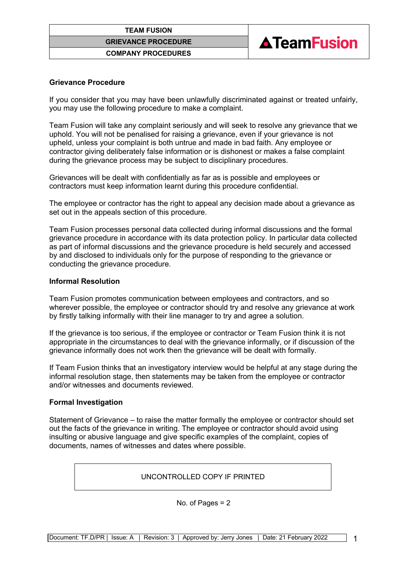



## **Grievance Procedure**

If you consider that you may have been unlawfully discriminated against or treated unfairly, you may use the following procedure to make a complaint.

Team Fusion will take any complaint seriously and will seek to resolve any grievance that we uphold. You will not be penalised for raising a grievance, even if your grievance is not upheld, unless your complaint is both untrue and made in bad faith. Any employee or contractor giving deliberately false information or is dishonest or makes a false complaint during the grievance process may be subject to disciplinary procedures.

Grievances will be dealt with confidentially as far as is possible and employees or contractors must keep information learnt during this procedure confidential.

The employee or contractor has the right to appeal any decision made about a grievance as set out in the appeals section of this procedure.

Team Fusion processes personal data collected during informal discussions and the formal grievance procedure in accordance with its data protection policy. In particular data collected as part of informal discussions and the grievance procedure is held securely and accessed by and disclosed to individuals only for the purpose of responding to the grievance or conducting the grievance procedure.

### **Informal Resolution**

Team Fusion promotes communication between employees and contractors, and so wherever possible, the employee or contractor should try and resolve any grievance at work by firstly talking informally with their line manager to try and agree a solution.

If the grievance is too serious, if the employee or contractor or Team Fusion think it is not appropriate in the circumstances to deal with the grievance informally, or if discussion of the grievance informally does not work then the grievance will be dealt with formally.

If Team Fusion thinks that an investigatory interview would be helpful at any stage during the informal resolution stage, then statements may be taken from the employee or contractor and/or witnesses and documents reviewed.

# **Formal Investigation**

Statement of Grievance – to raise the matter formally the employee or contractor should set out the facts of the grievance in writing. The employee or contractor should avoid using insulting or abusive language and give specific examples of the complaint, copies of documents, names of witnesses and dates where possible.

UNCONTROLLED COPY IF PRINTED

No. of Pages = 2